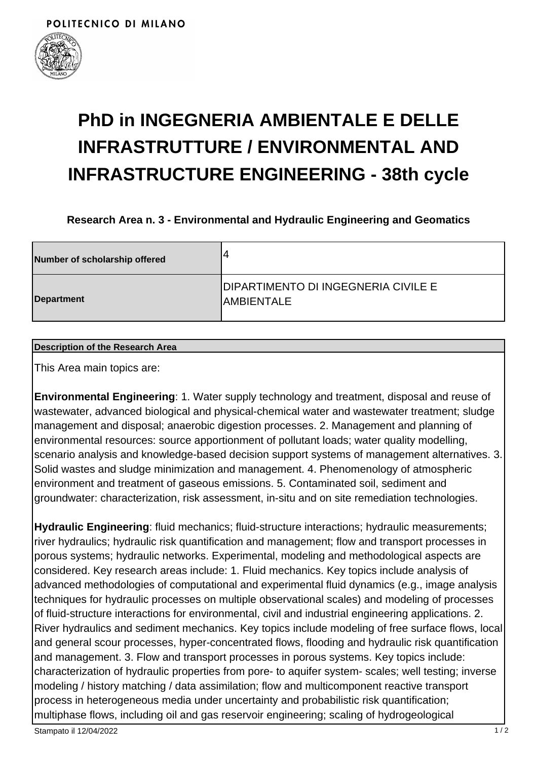

# **PhD in INGEGNERIA AMBIENTALE E DELLE INFRASTRUTTURE / ENVIRONMENTAL AND INFRASTRUCTURE ENGINEERING - 38th cycle**

**Research Area n. 3 - Environmental and Hydraulic Engineering and Geomatics**

| Number of scholarship offered | 4                                                         |
|-------------------------------|-----------------------------------------------------------|
| Department                    | <b>DIPARTIMENTO DI INGEGNERIA CIVILE E</b><br>IAMBIENTALE |

#### **Description of the Research Area**

This Area main topics are:

**Environmental Engineering**: 1. Water supply technology and treatment, disposal and reuse of wastewater, advanced biological and physical-chemical water and wastewater treatment; sludge management and disposal; anaerobic digestion processes. 2. Management and planning of environmental resources: source apportionment of pollutant loads; water quality modelling, scenario analysis and knowledge-based decision support systems of management alternatives. 3. Solid wastes and sludge minimization and management. 4. Phenomenology of atmospheric environment and treatment of gaseous emissions. 5. Contaminated soil, sediment and groundwater: characterization, risk assessment, in-situ and on site remediation technologies.

**Hydraulic Engineering**: fluid mechanics; fluid-structure interactions; hydraulic measurements; river hydraulics; hydraulic risk quantification and management; flow and transport processes in porous systems; hydraulic networks. Experimental, modeling and methodological aspects are considered. Key research areas include: 1. Fluid mechanics. Key topics include analysis of advanced methodologies of computational and experimental fluid dynamics (e.g., image analysis techniques for hydraulic processes on multiple observational scales) and modeling of processes of fluid-structure interactions for environmental, civil and industrial engineering applications. 2. River hydraulics and sediment mechanics. Key topics include modeling of free surface flows, local and general scour processes, hyper-concentrated flows, flooding and hydraulic risk quantification and management. 3. Flow and transport processes in porous systems. Key topics include: characterization of hydraulic properties from pore- to aquifer system- scales; well testing; inverse modeling / history matching / data assimilation; flow and multicomponent reactive transport process in heterogeneous media under uncertainty and probabilistic risk quantification; multiphase flows, including oil and gas reservoir engineering; scaling of hydrogeological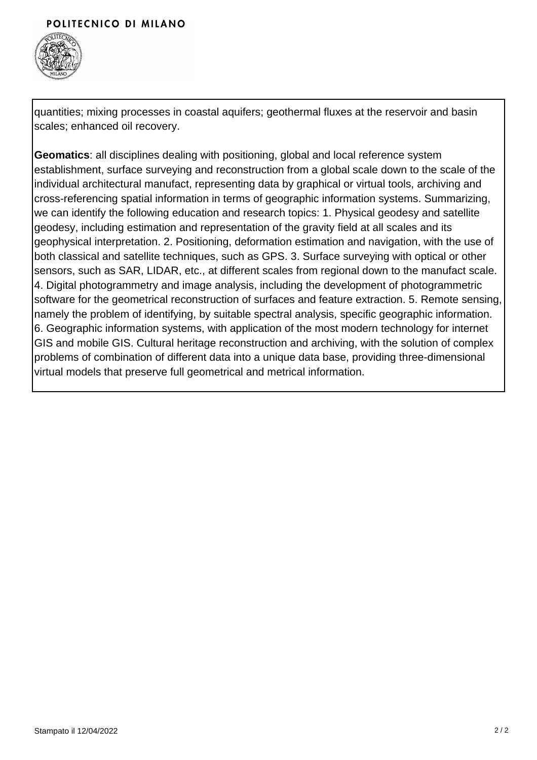### POLITECNICO DI MILANO



quantities; mixing processes in coastal aquifers; geothermal fluxes at the reservoir and basin scales; enhanced oil recovery.

**Geomatics**: all disciplines dealing with positioning, global and local reference system establishment, surface surveying and reconstruction from a global scale down to the scale of the individual architectural manufact, representing data by graphical or virtual tools, archiving and cross-referencing spatial information in terms of geographic information systems. Summarizing, we can identify the following education and research topics: 1. Physical geodesy and satellite geodesy, including estimation and representation of the gravity field at all scales and its geophysical interpretation. 2. Positioning, deformation estimation and navigation, with the use of both classical and satellite techniques, such as GPS. 3. Surface surveying with optical or other sensors, such as SAR, LIDAR, etc., at different scales from regional down to the manufact scale. 4. Digital photogrammetry and image analysis, including the development of photogrammetric software for the geometrical reconstruction of surfaces and feature extraction. 5. Remote sensing, namely the problem of identifying, by suitable spectral analysis, specific geographic information. 6. Geographic information systems, with application of the most modern technology for internet GIS and mobile GIS. Cultural heritage reconstruction and archiving, with the solution of complex problems of combination of different data into a unique data base, providing three-dimensional virtual models that preserve full geometrical and metrical information.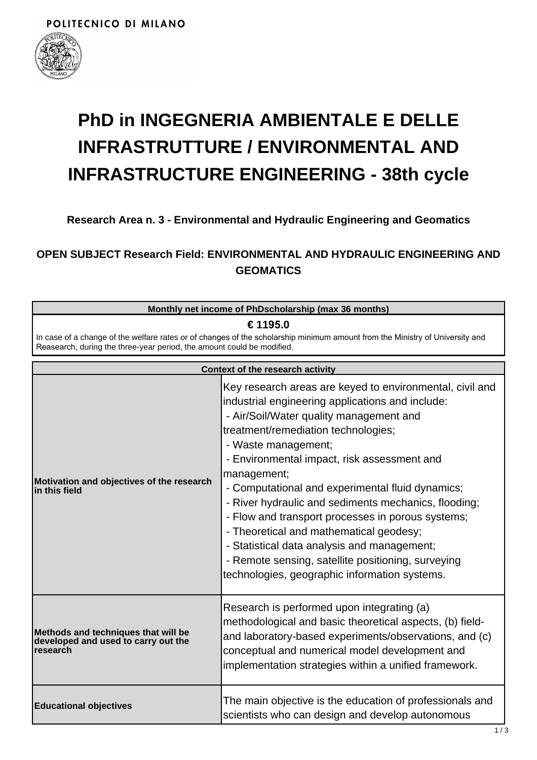

# **PhD in INGEGNERIA AMBIENTALE E DELLE INFRASTRUTTURE / ENVIRONMENTAL AND INFRASTRUCTURE ENGINEERING - 38th cycle**

## **Research Area n. 3 - Environmental and Hydraulic Engineering and Geomatics**

# **OPEN SUBJECT Research Field: ENVIRONMENTAL AND HYDRAULIC ENGINEERING AND GEOMATICS**

| Monthly net income of PhDscholarship (max 36 months)                                                                                                                                                               |                                                                                                                                                                                                                                                                                                                                                                                                                                                                                                                                                                                                                                                       |  |
|--------------------------------------------------------------------------------------------------------------------------------------------------------------------------------------------------------------------|-------------------------------------------------------------------------------------------------------------------------------------------------------------------------------------------------------------------------------------------------------------------------------------------------------------------------------------------------------------------------------------------------------------------------------------------------------------------------------------------------------------------------------------------------------------------------------------------------------------------------------------------------------|--|
| € 1195.0<br>In case of a change of the welfare rates or of changes of the scholarship minimum amount from the Ministry of University and<br>Reasearch, during the three-year period, the amount could be modified. |                                                                                                                                                                                                                                                                                                                                                                                                                                                                                                                                                                                                                                                       |  |
|                                                                                                                                                                                                                    | <b>Context of the research activity</b>                                                                                                                                                                                                                                                                                                                                                                                                                                                                                                                                                                                                               |  |
| Motivation and objectives of the research<br>in this field                                                                                                                                                         | Key research areas are keyed to environmental, civil and<br>industrial engineering applications and include:<br>- Air/Soil/Water quality management and<br>treatment/remediation technologies;<br>- Waste management;<br>- Environmental impact, risk assessment and<br>management;<br>- Computational and experimental fluid dynamics;<br>- River hydraulic and sediments mechanics, flooding;<br>- Flow and transport processes in porous systems;<br>- Theoretical and mathematical geodesy;<br>- Statistical data analysis and management;<br>- Remote sensing, satellite positioning, surveying<br>technologies, geographic information systems. |  |
| Methods and techniques that will be<br>developed and used to carry out the<br>research                                                                                                                             | Research is performed upon integrating (a)<br>methodological and basic theoretical aspects, (b) field-<br>and laboratory-based experiments/observations, and (c)<br>conceptual and numerical model development and<br>implementation strategies within a unified framework.                                                                                                                                                                                                                                                                                                                                                                           |  |
| <b>Educational objectives</b>                                                                                                                                                                                      | The main objective is the education of professionals and<br>scientists who can design and develop autonomous                                                                                                                                                                                                                                                                                                                                                                                                                                                                                                                                          |  |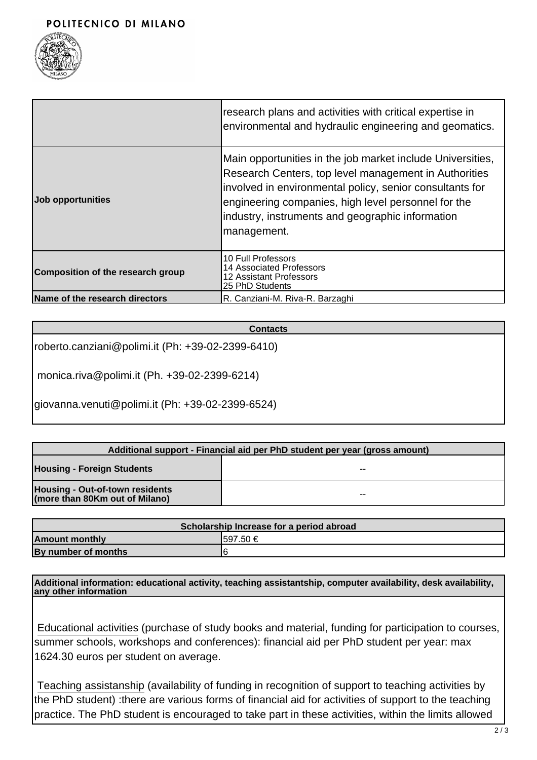

|                                          | research plans and activities with critical expertise in<br>environmental and hydraulic engineering and geomatics.                                                                                                                                                                                        |
|------------------------------------------|-----------------------------------------------------------------------------------------------------------------------------------------------------------------------------------------------------------------------------------------------------------------------------------------------------------|
| <b>Job opportunities</b>                 | Main opportunities in the job market include Universities,<br>Research Centers, top level management in Authorities<br>involved in environmental policy, senior consultants for<br>engineering companies, high level personnel for the<br>industry, instruments and geographic information<br>management. |
| <b>Composition of the research group</b> | 10 Full Professors<br><b>14 Associated Professors</b><br><b>12 Assistant Professors</b><br>25 PhD Students                                                                                                                                                                                                |
| Name of the research directors           | R. Canziani-M. Riva-R. Barzaghi                                                                                                                                                                                                                                                                           |

#### **Contacts**

roberto.canziani@polimi.it (Ph: +39-02-2399-6410)

monica.riva@polimi.it (Ph. +39-02-2399-6214)

giovanna.venuti@polimi.it (Ph: +39-02-2399-6524)

| Additional support - Financial aid per PhD student per year (gross amount) |                          |  |
|----------------------------------------------------------------------------|--------------------------|--|
| <b>Housing - Foreign Students</b>                                          | $- -$                    |  |
| Housing - Out-of-town residents<br>(more than 80Km out of Milano)          | $\overline{\phantom{m}}$ |  |

| Scholarship Increase for a period abroad |           |  |
|------------------------------------------|-----------|--|
| <b>Amount monthly</b>                    | I597.50 € |  |
| By number of months                      |           |  |

**Additional information: educational activity, teaching assistantship, computer availability, desk availability, any other information**

 Educational activities (purchase of study books and material, funding for participation to courses, summer schools, workshops and conferences): financial aid per PhD student per year: max 1624.30 euros per student on average.

 Teaching assistanship (availability of funding in recognition of support to teaching activities by the PhD student) :there are various forms of financial aid for activities of support to the teaching practice. The PhD student is encouraged to take part in these activities, within the limits allowed